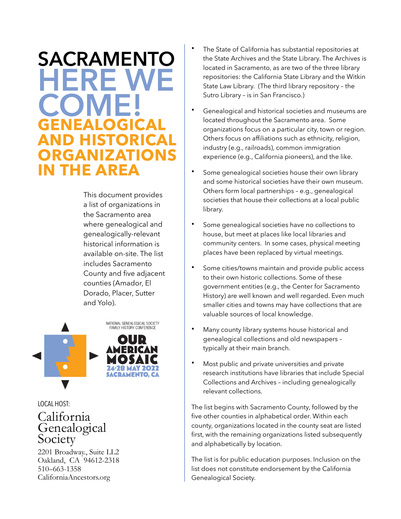# **SACRAMENTO HERE WE COME! GENEALOGICAL HISTORICAL RGANIZATIONS IN THE AREA**

This document provides a list of organizations in the Sacramento area where genealogical and genealogically-relevant historical information is available on-site. The list includes Sacramento County and five adjacent counties (Amador, El Dorado, Placer, Sutter and Yolo).



# LOCAL HOST:

# California Genealogical Society

2201 Broadway., Suite LL2 Oakland, CA 94612-2318 510–663-1358 CaliforniaAncestors.org

- The State of California has substantial repositories at the State Archives and the State Library. The Archives is located in Sacramento, as are two of the three library repositories: the California State Library and the Witkin State Law Library. (The third library repository – the Sutro Library – is in San Francisco.)
- Genealogical and historical societies and museums are located throughout the Sacramento area. Some organizations focus on a particular city, town or region. Others focus on affiliations such as ethnicity, religion, industry (e.g., railroads), common immigration experience (e.g., California pioneers), and the like.
- Some genealogical societies house their own library and some historical societies have their own museum. Others form local partnerships – e.g., genealogical societies that house their collections at a local public library.
- Some genealogical societies have no collections to house, but meet at places like local libraries and community centers. In some cases, physical meeting places have been replaced by virtual meetings.
- Some cities/towns maintain and provide public access to their own historic collections. Some of these government entities (e.g., the Center for Sacramento History) are well known and well regarded. Even much smaller cities and towns may have collections that are valuable sources of local knowledge.
- Many county library systems house historical and genealogical collections and old newspapers – typically at their main branch.
- Most public and private universities and private research institutions have libraries that include Special Collections and Archives – including genealogically relevant collections.

The list begins with Sacramento County, followed by the five other counties in alphabetical order. Within each county, organizations located in the county seat are listed first, with the remaining organizations listed subsequently and alphabetically by location.

The list is for public education purposes. Inclusion on the list does not constitute endorsement by the California Genealogical Society.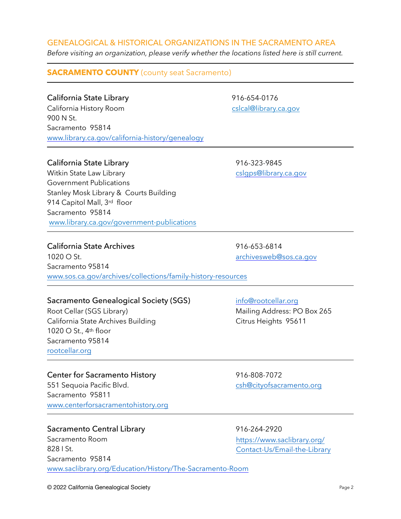# © 2022 California Genealogical Society Page 2

### GENEALOGICAL & HISTORICAL ORGANIZATIONS IN THE SACRAMENTO AREA

*Before visiting an organization, please verify whether the locations listed here is still current.*

# **SACRAMENTO COUNTY** (county seat Sacramento)

California State Library 16-654-0176 California History Room [cslcal@library.ca.gov](mailto:cslcal@library.ca.gov) 900 N St. Sacramento 95814 [www.library.ca.gov/california-history/genealogy](https://www.library.ca.gov/california-history/genealogy/)

# California State Library 16-323-9845

Witkin State Law Library and the control of the control of cslqps@library.ca.gov Government Publications Stanley Mosk Library & Courts Building 914 Capitol Mall, 3rd floor Sacramento 95814 [www.library.ca.gov/government-publications](https://www.library.ca.gov/government-publications/)

# California State Archives **618 and 318 and 318 and 316-653-6814**

1020 O St. and the state of the state of the state of the [archivesweb@sos.ca.gov](mailto:archivesweb@sos.ca.gov) Sacramento 95814 [www.sos.ca.gov/archives/collections/family-history-resources](https://www.sos.ca.gov/archives)

# Sacramento Genealogical Society (SGS) [info@rootcellar.org](mailto:info@rootcellar.org)

Root Cellar (SGS Library) The Mailing Address: PO Box 265 California State Archives Building Citrus Heights 95611 1020 O St., 4th floor Sacramento 95814 [rootcellar.org](https://rootcellar.org/)

# Center for Sacramento History 916-808-7072

551 Sequoia Pacific Blvd. Cshoots are [csh@cityofsacramento.org](mailto:csh@cityofsacramento.org) Sacramento 95811 [www.centerforsacramentohistory.org](http://www.centerforsacramentohistory.org)

# Sacramento Central Library 16-264-2920

Sacramento Room 828 I St. Sacramento 95814 [www.saclibrary.org/Education/History/The-Sacramento-Room](https://www.saclibrary.org/Education/History/The-Sacramento-Room)

[https://www.saclibrary.org/](https://www.saclibrary.org/Contact-Us/Email-the-Library) [Contact-Us/Email-the-Library](https://www.saclibrary.org/Contact-Us/Email-the-Library)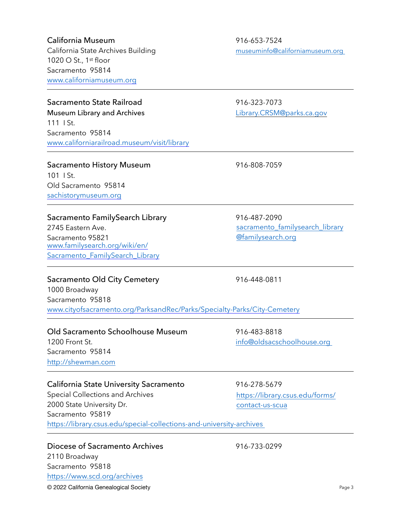#### California Museum 1916-653-7524

1020 O St., 1st floor Sacramento 95814 [www.californiamuseum.org](https://www.californiamuseum.org)

#### Sacramento State Railroad 916-323-7073

Museum Library and Archives **[Library.CRSM@parks.ca.gov](mailto:Library.CRSM@parks.ca.gov)** 111 I St. Sacramento 95814 [www.californiarailroad.museum/visit/library](https://californiarailroad.museum/)

#### Sacramento History Museum 1916-808-7059

101 I St. Old Sacramento 95814 [sachistorymuseum.org](http://sachistorymuseum.org/)

# Sacramento FamilySearch Library 16-487-2090 2745 Eastern Ave.

Sacramento 95821 [www.familysearch.org/wiki/en/](https://www.familysearch.org/wiki/en/Sacramento_FamilySearch_Library) [Sacramento\\_FamilySearch\\_Library](https://www.familysearch.org/wiki/en/Sacramento_FamilySearch_Library)

#### Sacramento Old City Cemetery 916-448-0811 1000 Broadway Sacramento 95818 [www.cityofsacramento.org/ParksandRec/Parks/Specialty-Parks/City-Cemetery](https://www.cityofsacramento.org/ParksandRec/Parks/Specialty-Parks/City-Cemetery)

#### Old Sacramento Schoolhouse Museum 916-483-8818 1200 Front St. [info@oldsacschoolhouse.org](mailto:info@oldsacschoolhouse.org)  Sacramento 95814 [http://shewman.com](http://shewman.com/)

#### California State University Sacramento 916-278-5679

Special Collections and Archives 2000 State University Dr. Sacramento 95819 <https://library.csus.edu/special-collections-and-university-archives>

# Diocese of Sacramento Archives 618 1996-733-0299 2110 Broadway Sacramento 95818 <https://www.scd.org/archives>

California State Archives Building museuminfo@californiamuseum.org

[sacramento\\_familysearch\\_library](mailto:sacramento_familysearch_library@familysearch.org) [@familysearch.org](mailto:sacramento_familysearch_library@familysearch.org)

[https://library.csus.edu/forms/](https://library.csus.edu/forms/contact-us-scua) [contact-us-scua](https://library.csus.edu/forms/contact-us-scua)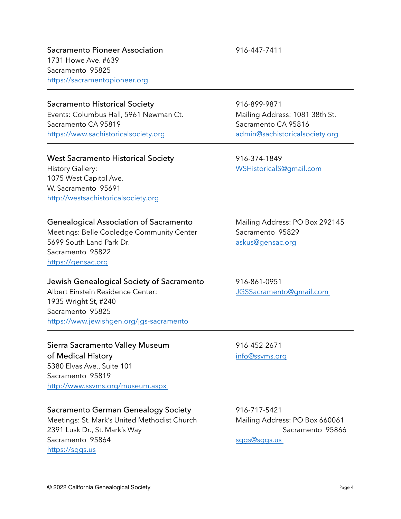Sacramento Pioneer Association 916-447-7411 1731 Howe Ave. #639 Sacramento 95825 [https://sacramentopioneer.org](https://sacramentopioneer.org/) 

#### Sacramento Historical Society 916-899-9871

Events: Columbus Hall, 5961 Newman Ct. Mailing Address: 1081 38th St. Sacramento CA 95819 Sacramento CA 95816 [https://www.sachistoricalsociety.org](https://www.sachistoricalsociety.org/) [admin@sachistoricalsociety.org](mailto:admin@sachistoricalsociety.org)

#### West Sacramento Historical Society 916-374-1849

History Gallery: [WSHistoricalS@gmail.com](mailto:WSHistoricalS@gmail.com)  1075 West Capitol Ave. W. Sacramento 95691 [http://westsachistoricalsociety.org](http://westsachistoricalsociety.org/) 

#### Genealogical Association of Sacramento Mailing Address: PO Box 292145

Meetings: Belle Cooledge Community Center Sacramento 95829 5699 South Land Park Dr. **Accord Park Accord Park Dr.** [askus@gensac.org](mailto:askus@gensac.org) Sacramento 95822 [https://gensac.org](https://gensac.org/)

Jewish Genealogical Society of Sacramento 916-861-0951 Albert Einstein Residence Center: [JGSSacramento@gmail.com](mailto:JGSSacramento@gmail.com)  1935 Wright St, #240 Sacramento 95825 [https://www.jewishgen.org/jgs-sacramento](https://www.jewishgen.org/jgs-sacramento/) 

Sierra Sacramento Valley Museum 916-452-2671 of Medical History [info@ssvms.org](mailto:info@ssvms.org) 5380 Elvas Ave., Suite 101 Sacramento 95819 <http://www.ssvms.org/museum.aspx>

#### Sacramento German Genealogy Society 916-717-5421

Meetings: St. Mark's United Methodist Church Mailing Address: PO Box 660061 2391 Lusk Dr., St. Mark's Way Sacramento 95866 Sacramento 95864 sggs@sggs.us [https://sggs.us](https://sggs.us/)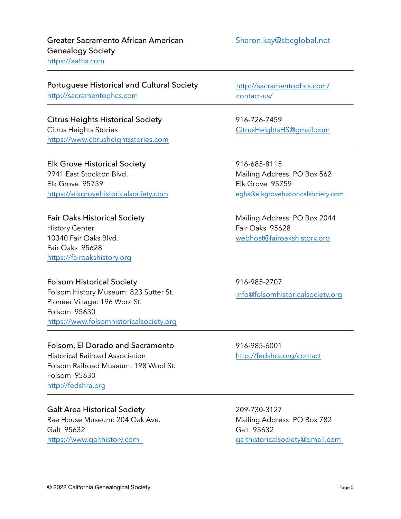## Greater Sacramento African American [Sharon.kay@sbcglobal.net](mailto:Sharon.kay@sbcglobal.net) Genealogy Society [https://aafhs.com](https://aafhs.com/)

Portuguese Historical and Cultural Society [http://sacramentophcs.com](http://sacramentophcs.com/)

Citrus Heights Historical Society 916-726-7459 Citrus Heights Stories [CitrusHeightsHS@gmail.com](mailto:CitrusHeightsHS@gmail.com) [https://www.citrusheightsstories.com](https://www.citrusheightsstories.com/)

Elk Grove Historical Society **916-685-8115** 9941 East Stockton Blvd. Communication of Mailing Address: PO Box 562 Elk Grove 95759 Elk Grove 95759 [https://elkgrovehistoricalsociety.com](https://elkgrovehistoricalsociety.com/) eghs@elkgrovehistoricalsociety.com

History Center **Fair Oaks** 95628 10340 Fair Oaks Blvd. [webhost@fairoakshistory.org](mailto:webhost@fairoakshistory.org) Fair Oaks 95628 [https://fairoakshistory.org](https://fairoakshistory.org/)

#### Folsom Historical Society **916-985-2707**

Folsom History Museum: 823 Sutter St. Pioneer Village: 196 Wool St. Folsom 95630 [https://www.folsomhistoricalsociety.org](https://www.folsomhistoricalsociety.org/)

# Folsom, El Dorado and Sacramento 916-985-6001

Historical Railroad Association [http://fedshra.org/contact](http://fedshra.org/contact/) Folsom Railroad Museum: 198 Wool St. Folsom 95630 [http://fedshra.org](http://fedshra.org/)

# Galt Area Historical Society 209-730-3127

Rae House Museum: 204 Oak Ave. Mailing Address: PO Box 782 Galt 95632 Galt 95632 [https://www.galthistory.com](https://www.galthistory.com/) [galthistoricalsociety@gmail.com](mailto:galthistoricalsociety@gmail.com) 

[http://sacramentophcs.com/](http://sacramentophcs.com/contact-us/) [contact-us/](http://sacramentophcs.com/contact-us/) 

Fair Oaks Historical Society **Mailing Address: PO Box 2044** 

[info@folsomhistoricalsociety.org](mailto:info@folsomhistoricalsociety.org)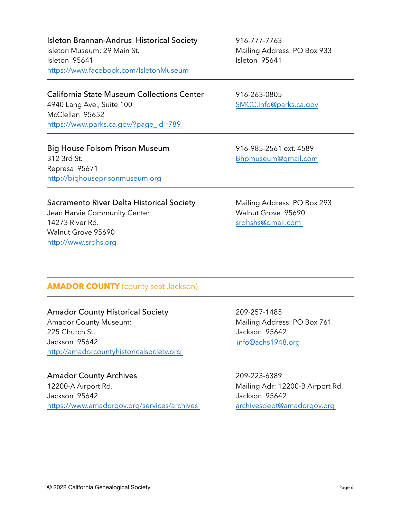Isleton Brannan-Andrus Historical Society 916-777-7763 Isleton Museum: 29 Main St. Mailing Address: PO Box 933 Isleton 95641 Isleton 95641 [https://www.facebook.com/IsletonMuseum](https://www.facebook.com/IsletonMuseum/) 

California State Museum Collections Center 916-263-0805 4940 Lang Ave., Suite 100 [SMCC.Info@parks.ca.gov](mailto:SMCC.Info@parks.ca.gov) McClellan 95652 https://www.parks.ca.gov/?page\_id=789

Big House Folsom Prison Museum 916-985-2561 ext. 4589 312 3rd St. [Bhpmuseum@gmail.com](mailto:Bhpmuseum@gmail.com) Represa 95671 [http://bighouseprisonmuseum.org](http://bighouseprisonmuseum.org/) 

Sacramento River Delta Historical Society Mailing Address: PO Box 293

Jean Harvie Community Center New York Number 2014 Walnut Grove 95690 14273 River Rd. State State State State State State State State State State State State State State State State State State State State State State State State State State State State State State State State State State St Walnut Grove 95690 [http://www.srdhs.org](http://www.srdhs.org/)

**AMADOR COUNTY** (county seat Jackson)

#### Amador County Historical Society 209-257-1485

Amador County Museum: Mailing Address: PO Box 761 225 Church St. Jackson 95642 Jackson 95642 [http://amadorcountyhistoricalsociety.org](http://amadorcountyhistoricalsociety.org/) 

Amador County Archives 209-223-6389 12200-A Airport Rd. **Mailing Adr: 12200-B Airport Rd.** Jackson 95642 Jackson 95642

[info@achs1948.org](mailto:info@achs1948.org) 

https://ww<u>w.amadorgov.org/services/archives archivesdept@amadorgov.org</u>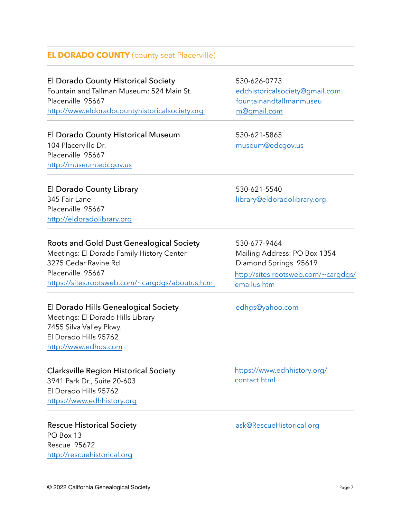# **EL DORADO COUNTY** (county seat Placerville)

El Dorado County Historical Society 530-626-0773 Fountain and Tallman Museum: 524 Main St. edchistoricalsociety@gmail.com Placerville 95667 [http://www.eldoradocountyhistoricalsociety.org](http://www.eldoradocountyhistoricalsociety.org/) 

# El Dorado County Historical Museum 530-621-5865

104 Placerville Dr. https://www.assimuseum@edcgov.us Placerville 95667 [http://museum.edcgov.us](http://museum.edcgov.us/)

http://eldoradolibrary.org

Placerville 95667

[fountainandtallmanmuseu](mailto:fountainandtallmanmuseum@gmail.com) [m@gmail.com](mailto:fountainandtallmanmuseum@gmail.com) 

El Dorado County Library 630-621-5540 345 Fair Lane library@eldoradolibrary.org

| <b>Roots and Gold Dust Genealogical Society</b> | 530-677-9464 |
|-------------------------------------------------|--------------|
|                                                 |              |

Meetings: El Dorado Family History Center **Mailing Address: PO Box 1354** 3275 Cedar Ravine Rd. Diamond Springs 95619 Placerville 95667 <https://sites.rootsweb.com/~cargdgs/aboutus.htm>

# El Dorado Hills Genealogical Society **El Dorado Hills Genealogical Society** edhgs@yahoo.com

Meetings: El Dorado Hills Library 7455 Silva Valley Pkwy. El Dorado Hills 95762 [http://www.edhgs.com](http://www.edhgs.com/)

# Clarksville Region Historical Society

3941 Park Dr., Suite 20-603 El Dorado Hills 95762 [https://www.edhhistory.org](https://www.edhhistory.org/)

# Rescue Historical Society and The Task@RescueHistorical.org PO Box 13 Rescue 95672

[http://rescuehistorical.org](http://rescuehistorical.org/)

[http://sites.rootsweb.com/~cargdgs/](http://sites.rootsweb.com/~cargdgs/emailus.htm) [emailus.htm](http://sites.rootsweb.com/~cargdgs/emailus.htm)

[https://www.edhhistory.org/](https://www.edhhistory.org/contact.html) [contact.html](https://www.edhhistory.org/contact.html)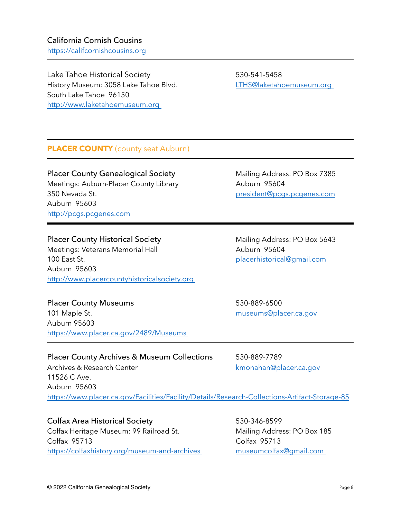# California Cornish Cousins [https://califcornishcousins.org](https://califcornishcousins.org/)

Lake Tahoe Historical Society 530-541-5458 History Museum: 3058 Lake Tahoe Blvd. [LTHS@laketahoemuseum.org](mailto:LTHS@laketahoemuseum.org)  South Lake Tahoe 96150 [http://www.laketahoemuseum.org](http://www.laketahoemuseum.org/) 

# **PLACER COUNTY** (county seat Auburn)

Placer County Genealogical Society Mailing Address: PO Box 7385 Meetings: Auburn-Placer County Library **Auburn 95604** 350 Nevada St. [president@pcgs.pcgenes.com](mailto:president@pcgs.pcgenes.com) Auburn 95603 [http://pcgs.pcgenes.com](http://pcgs.pcgenes.com/)

#### Placer County Historical Society Mailing Address: PO Box 5643

Meetings: Veterans Memorial Hall Meetings: Veterans Memorial Hall 100 East St. [placerhistorical@gmail.com](mailto:placerhistorical@gmail.com)  Auburn 95603 [http://www.placercountyhistoricalsociety.org](http://www.placercountyhistoricalsociety.org/) 

Placer County Museums 630-889-6500 101 Maple St. et al. and the state of the museums@placer.ca.gov Auburn 95603 <https://www.placer.ca.gov/2489/Museums>

Placer County Archives & Museum Collections 530-889-7789

Archives & Research Center **Karlon** Research Center **kmonahan@placer.ca.gov** 11526 C Ave. Auburn 95603 <https://www.placer.ca.gov/Facilities/Facility/Details/Research-Collections-Artifact-Storage-85>

Colfax Area Historical Society 530-346-8599 Colfax Heritage Museum: 99 Railroad St. Mailing Address: PO Box 185 Colfax 95713 Colfax 95713

[https://colfaxhistory.org/museum-and-archives](https://colfaxhistory.org/museum-and-archives/) [museumcolfax@gmail.com](mailto:museumcolfax@gmail.com)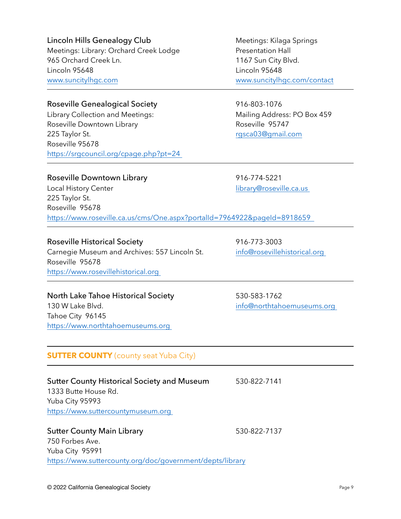#### © 2022 California Genealogical Society Page 9

750 Forbes Ave. Yuba City 95991

Lincoln Hills Genealogy Club Meetings: Kilaga Springs Meetings: Library: Orchard Creek Lodge Presentation Hall 965 Orchard Creek Ln. 1167 Sun City Blvd. Lincoln 95648 Lincoln 95648 [www.suncitylhgc.com](http://www.suncitylhgc.com/) [www.suncitylhgc.com/contact](https://www.suncitylhgc.com/contact)

#### Roseville Genealogical Society 816-803-1076

Library Collection and Meetings: Mailing Address: PO Box 459 Roseville Downtown Library **Roseville 95747** 225 Taylor St. **[rgsca03@gmail.com](mailto:rgsca3@gmail.com)** Roseville 95678 <https://srgcouncil.org/cpage.php?pt=24>

#### Roseville Downtown Library 1916-774-5221

Local History Center library@roseville.ca.us 225 Taylor St. Roseville 95678 <https://www.roseville.ca.us/cms/One.aspx?portalId=7964922&pageId=8918659>

#### Roseville Historical Society **1916-773-3003**

Carnegie Museum and Archives: 557 Lincoln St. info@rosevillehistorical.org Roseville 95678 [https://www.rosevillehistorical.org](https://www.rosevillehistorical.org/) 

#### North Lake Tahoe Historical Society 530-583-1762

130 W Lake Blvd. info@northtahoemuseums.org Tahoe City 96145 [https://www.northtahoemuseums.org](https://www.northtahoemuseums.org/) 

#### **SUTTER COUNTY** (county seat Yuba City)

Sutter County Historical Society and Museum 530-822-7141 1333 Butte House Rd. Yuba City 95993 [https://www.suttercountymuseum.org](https://www.suttercountymuseum.org/)  Sutter County Main Library 630-822-7137

<https://www.suttercounty.org/doc/government/depts/library>